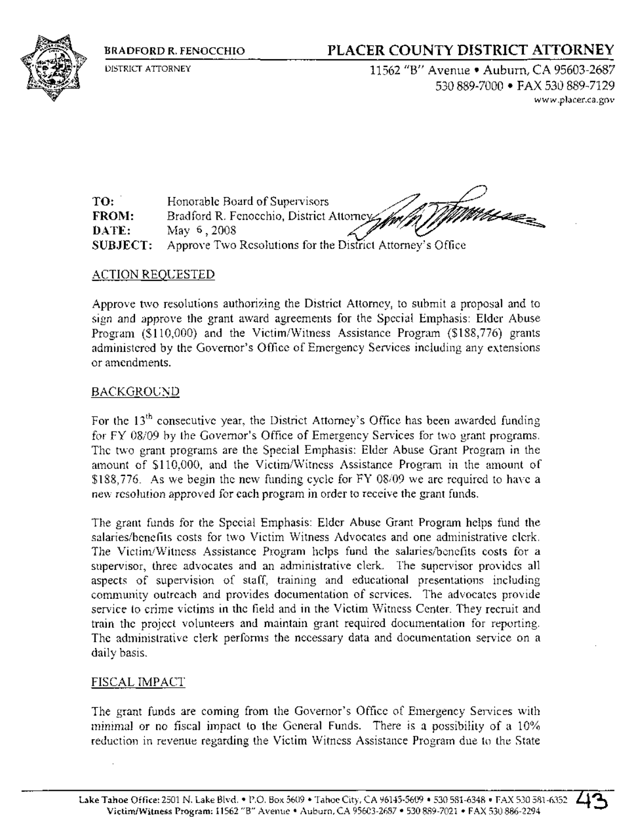BRADFORD R. FENOCCHIO

DISTRICT *ATTORNEY*

# PLACER COUNTY DISTRICT ATTORNEY

*11562 liB"* Avenue' Auburn, CA 95603-2687 530889-7000 • FAX 530889-7129 www.placer.ca.gov

TO: FROM: DATE: SUBJECT: Honorable Board of Supervisors Bradford R. Fenocchio, District Attorne May 6,2008 Approve Two Resolutions for the District Attorney's Office

# ACTION REQUESTED

Approve two resolutions authorizing the District Attorney, to submit a proposal and to sign and approve the grant award agreements for the Special Emphasis: Elder Abuse Program (\$110,000) and the Victim/Witness Assistance Program (\$188,776) grants administered by the Governor's Office of Emergency Services including any extensions or amendments.

# BACKGROUND

For the 13<sup>th</sup> consecutive year, the District Attorney's Office has been awarded funding for FY 08/09 by the Governor's Office of Emergency Services for two grant programs. The two grant programs are the Special Emphasis: Elder Abuse Grant Program in the amount of \$110,000, and the Victim/Witness Assistance Program in the amount of \$188,776. As we begin the new funding cycle for FY *08/09* we are required to have a new resolution approved for each program in order to receive the grant funds.

The grant funds for the Special Emphasis: Elder Abuse Grant Program helps fund the salaries/benefits costs for two Victim Witness Advocates and one administrative clerk. The Victim/Witness Assistance Program helps fund the salaries/benefits costs for a supervisor, three advocates and an administrative clerk. The supervisor provides all aspects of supervision of staff, training and educational presentations including community outreach and provides documentation of services. The advocates provide service to crime victims in the field and in the Victim Witness Center. They recruit and train the project volunteers and maintain grant required documentation for reporting. The administrative clerk performs the necessary data and documentation service on a daily basis.

### FISCAL IMPACT

The grant funds are coming from the Governor's Office of Emergency Services with minimal or no fiscal impact to the General Funds. There is a possibility of a 10% reduction in revenue regarding the Victim Witness Assistance Program due to the State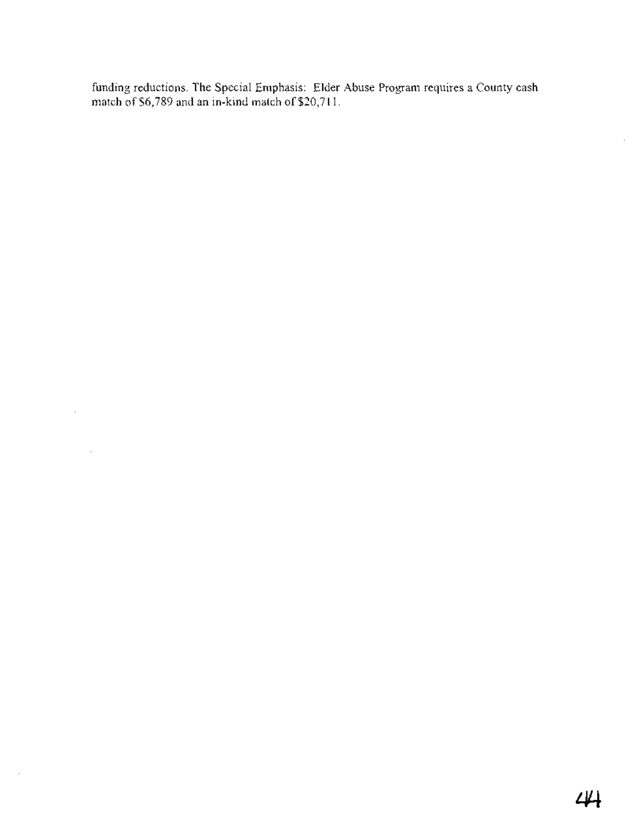funding reductions. The Special Emphasis: Elder Abuse Program requires a County cash match of \$6,789 and an in-kind match of \$20,711.

 $\sim 10^{-11}$ 

 $\sim$ 

 $\ddot{\phantom{a}}$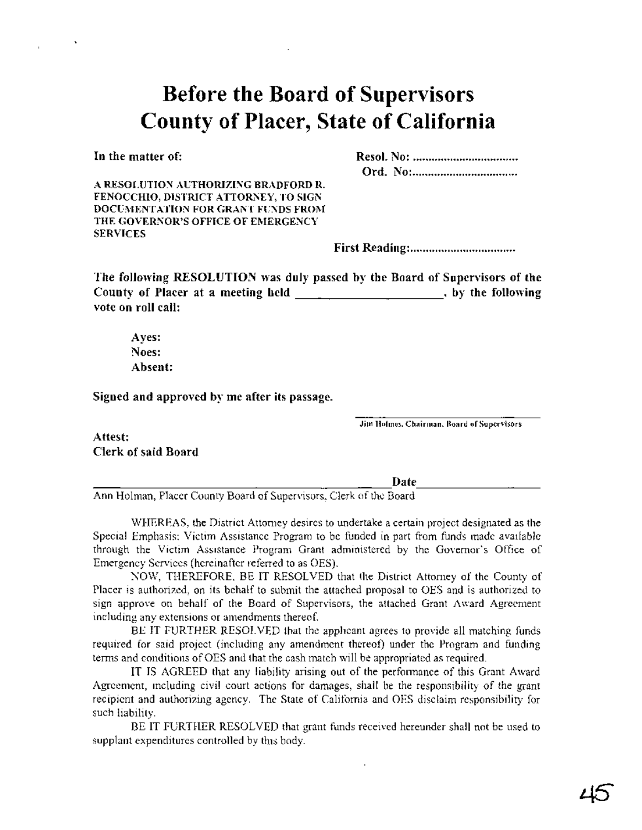# **Before the Board of Supervisors County of Placer, State of California**

In the matter of:

Resol. No: . Ord. No: .

A RESOLUTION AUTHORIZING BRADFORD R. FENOCCHIO, DISTRICT ATTORNEY, TO SIGN DOCUMENTATION FOR GRANT FUNDS FROM THE GOVERNOR'S OFFICE OF EMERGENCY **SERVICES** 

First Reading: .

The following RESOLUTION was duly passed by the Board of Supervisors of the County of Placer at a meeting held  $\qquad \qquad$   $\qquad$   $\qquad$  , by the following vote on roll call:

Ayes: Noes: Absent:

Signed and approved by me after its passage.

Jim Holmes, Chairman, Board of Supervisors

Attest: Clerk of said Board

Date ----------------------- ---------- Ann Holman, Placer County Board of Supervisors, Clerk ofthe Board

WHEREAS, the District Attorney desires to undertake a certain project designated as the Special Emphasis: Victim Assistance Program to be funded in part from funds made available through the Victim Assistance Program Grant administered by the Governor's Office of Emergency Services (hereinafter referred to as OES).

NOW, THEREFORE, BE IT RESOLVED that the District Attorney of the County of Placer is authorized, on its behalf to submit the attached proposal to OES and is authorized to sign approve on behalf of the Board of Supervisors, the attached Grant Award Agreement including any extensions or amendments thereof.

BE IT FURTHER RESOLVED that the applicant agrees to provide all matching funds required for said project (including any amendment thereof) under the Program and funding terms and conditions of OES and that the cash match will be appropriated as required.

IT IS AGREED that any liability arising out of the performance of this Grant Award Agreement, including civil court actions for damages, shall be the responsibility of the grant recipient and authorizing agency. The State of California and OES disclaim responsibility for such liability.

BE IT FURTHER RESOLVED that grant funds received hereunder shall not be used to supplant expenditures controlled by this body.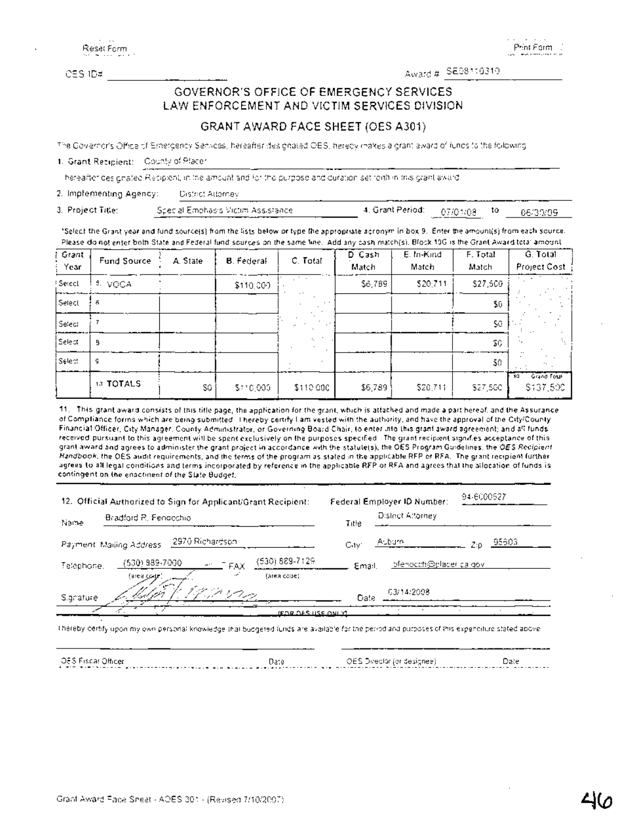Reset Form

Print Form

# OESID# ------------ Award# SE08110310 GOVERNOR'S OFFICE OF EMERGENCY SERVICES LAW ENFORCEMENT AND VICTIM SERVICES DIVISION

### GRANT AWARD FACE SHEET (OES A301)

The Governor's Office of Emergency Services, hereafter designated OES, hereby makes a grant award of funds to the following

### 1. Grant Recipient: County of Placer

--~------------------------------- hereafter deSignated ReCipient, in the amount and for the purpose and duration set forth in this grant award.

2. Implementing Agency: District Attorney

3. Project Title: Special Emphasis Victim Assistance 4, Grant Period: 07/01/08 to 06/30/09

'Select the Grant year and fund source(s) from the lists below or type the appropriate acronym in box 9. Enter the amount(s} from each source. Please do not enter both State and Federal fund sources on the same line. Add any cash match(s}. Block JOG is the Grant Award total amount.

| i Grant<br>: Year   | Fund Source | A. State | <b>B.</b> Federal | C. Total  | D Cash<br>Match | E. In-Kind<br>Match | F. Total<br>Match | G. Total<br>Project Cost       |
|---------------------|-------------|----------|-------------------|-----------|-----------------|---------------------|-------------------|--------------------------------|
| <sup>1</sup> Seiecl | 5. VQÇA     |          | \$110,000         | 2 to a    | \$6,789         | \$20,711            | \$27,500          |                                |
| Select              | 휵           |          |                   |           |                 |                     | \$0               |                                |
| Select              |             |          |                   |           |                 |                     | \$0               |                                |
| Selecti             | 9           |          |                   |           |                 |                     | \$G.              |                                |
| Selecti             | g           |          |                   |           |                 |                     | \$0               |                                |
|                     | 13 TOTALS   | SQ.      | \$110,000         | \$110.000 | \$6,789         | \$20,711            | \$27,500          | Grand Total<br>70<br>\$137,500 |

11, This grant award consists of this title page, the application for the grant, which is attached and made a part hereof, and the Assurance of Compliance forms which are being submitted. I hereby certify I am vested with the authority, and have the approval of the City/County Financial Officer, City Manager, County Administrator, or .Governing Board Chair, to enter into this grant award agreement; and all funds received pursuant to this agreement will be spent exclusively on the purposes specified. The grant recipient signifies acceptance of this grant award and agrees to administer the grant project in accordance with the statute(s}, the OES Program Guidelines, the OES Recipient Handbook, the OES audit requirements, and the terms of the program as stated in the applicable RFP or RFA. The grant recipient further agrees to alilega! conditions and terms incorporated by reference in the applicable RFP or RFA and agrees that the allocation of funds is contingent on the enactment of the State Budget.

| 12. Official Authorized to Sign for Applicant/Grant Recipient:                                      | 94-6000527<br>Federal Employer ID Number: |
|-----------------------------------------------------------------------------------------------------|-------------------------------------------|
| Bradford R. Fendechio<br>Name                                                                       | District Attorney<br>Title                |
| -2970 Richardson<br>Payment, Mailing Address,                                                       | Aubure,<br>95603.<br>CHV1                 |
| (530) 889-7129<br>(530) 989-7000.<br>$\frac{1}{2}$ FAX<br>Teléphone.<br>(area code).<br>(area codz) | bfertooph@plader.ca.gov.<br>Email.        |
| dag.<br>Signature                                                                                   | 03/14/2008<br>Date                        |
| <u>IFOR OFS USE ONLY!</u>                                                                           |                                           |

I hereby certify upon my own personal knowledge that budgeted funds are available for the period and purposes of this expenditure stated above.

Date COMP OF Side Constitution of the Constitution of the Constitution of the Constitution of the Constitution of the Constitution of the Constitution of the Constitution of the Constitution of the Constitution of the Cons OES Fiscal Officer Date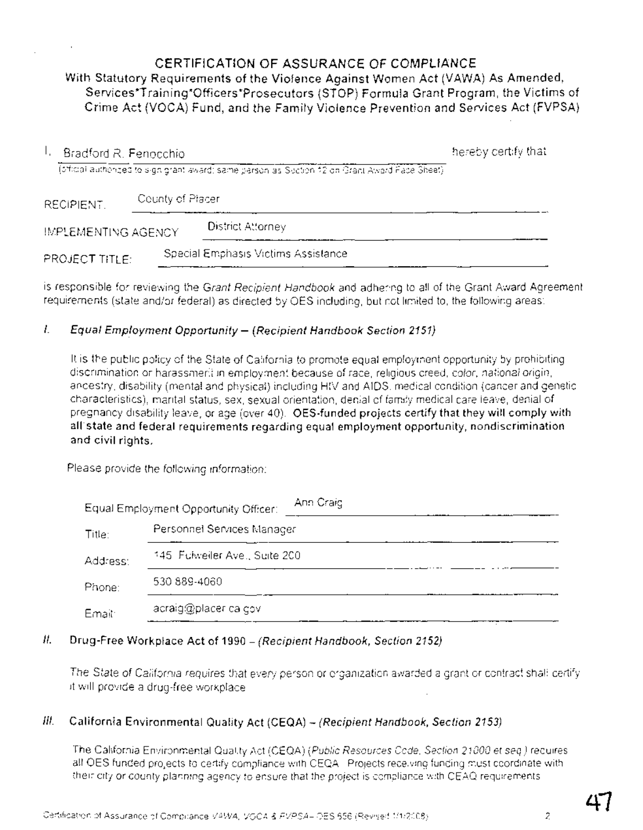**CERTIFICATION OF ASSURANCE OF COMPLIANCE** With Statutory Requirements of the Violence Against Women Act (VAWA) As Amended, Services\*Training\*Officers\*Prosecutors (STOP) Formula Grant Program, the Victims of Crime Act (VOCA) Fund, and the Family Violence Prevention and Services Act (FVPSA)

| Bradford R. Fenocchio<br>Т. |                  |                                                                                                  | hereby certify that |
|-----------------------------|------------------|--------------------------------------------------------------------------------------------------|---------------------|
|                             |                  | (official authorities to sign grant award) same person as Soction 12 on Grant Award Face Sheet). |                     |
| RECIPIENT.                  | County of Placer |                                                                                                  |                     |
| IMPLEMENTING AGENCY         |                  | District Attorney                                                                                |                     |
| PROJECT TITLE:              |                  | Special Emphasis Victims Assistance                                                              |                     |

is responsible for reviewing the Grant Recipient Handbook and adhering to all of the Grant Award Agreement requirements (state and/or federal) as directed by OES including, but not limited to, the following areas:

### I. Equal Employment Opportunity- (Recipient Handbook Section 2151)

It is the public policy of the State of California to promote equal employment opportunity by prohibiting discrimination or harassmerit in employment because of race, religious creed, color, national origin, ancestry, disability (mental and physical) including HIV and AIDS, medical condition (cancer and genetic characteristics), marital status, sex, sexual orientation, denial of family medical care leave, denial of pregnancy disability leave, or age (over 40). OES-funded projects certify that they will comply with all state and federal requirements regarding equal employment opportunity, nondiscrimination and civil rights.

Please provide the following information:

|          | Ann Craig<br>Equal Employment Opportunity Officer: |  |
|----------|----------------------------------------------------|--|
| Title:   | Personnel Services Manager                         |  |
| Address: | 145 Fulweiler Ave., Suite 200                      |  |
| Phone:   | 530 889-4060                                       |  |
| Email:   | acraig@placer.ca.cov                               |  |

### II. Drug-Free Workplace Act of 1990 - (Recipient Handbook, Section 2152)

The State of California requires that every person or organization awarded a grant or contract shall certify it will provide a drug-free workplace

# III. California Environmental Quality Act (CEQA)  $-$  (Recipient Handbook, Section 2153)

The California Environmental Quality Act (CEQA) (Public Resources Code, Section 21000 et seq) requires all OES funded projects to certify compliance with CEQA. Projects receiving funding must coordinate with their city or county planning agency to ensure that the project is compliance with CEAQ requirements.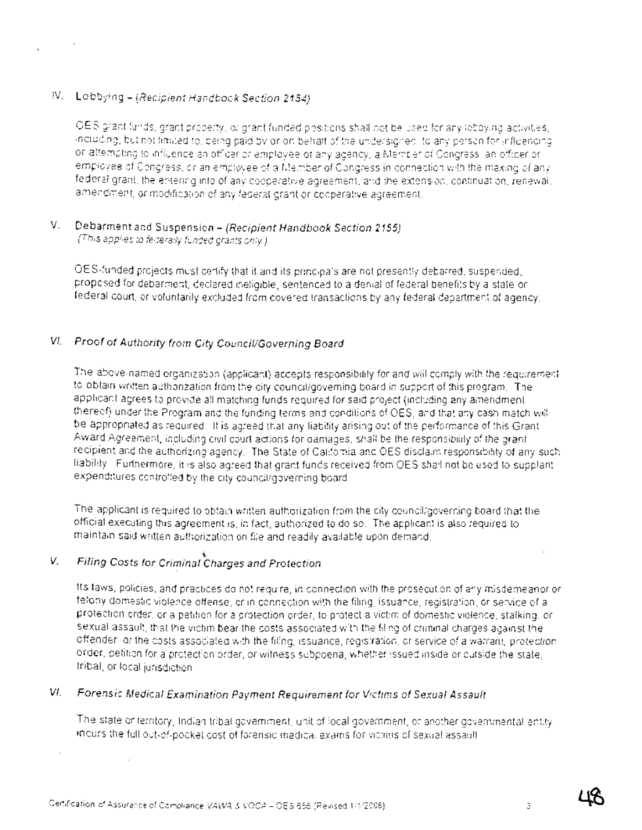# $IV.$  Lobbying - (Recipient Handbook Section 2154).

OES grant funds, grant property, or grant funded positions shall not be used for any lobbying activities, including, but not limited to. being paid by or on behalf of the undersignec, to any person for influencing or attempting to Influence an officer or employee of any agency, a IV1ember of Congress, an officer or employee of Congress, or an employee of a Member of Congress in connection with the making of any federal grant, the entering into of any cooperative agreement, and the extension, continuation, renewal, amendment, or modification of any federal grant or cooperative agreement.

### V. Debarment and Suspension - (Recipient Handbook Section 2155) (This applies to federally funded grants only)

OES-funded projects must certify that it and its principals are not presently debarred, suspended, proposed for debarment, declared ineligible, sentenced to a denial of federal benefits by a state or federal court, or voluntarily excluded from covered transactions by any federal department of agency

# VI. Proof of Authority from City Council/Governing Board

The above-named organization (applicant) accepts responsibility for and will comply with the requirement to obtain written authorization from the city council/goveming board in support of this program The applicant agrees to provide all matching funds required for said project (including any amendment thereof) under the Program and the funding terms and conditions of OES, and that any cash match will be appropriated as required It is agreed that any liability arising out of the performance of this Grant Award Agreement, including civil court actions for damages, shall be the responsibility of the grant recipient and the authorizing agency The State of Califomia and OES disclaim responsibility of any such liability Furthermore, it is also agreed that grant funds received from OES shall not be used to supplant expenditures controlled by the city council/governing board.

The applicant is required to obtain written authorization from the city council/governing board that the official executing this agreement is, in fact, authorized to do so, The applicant is also required to maintain said written authorization on file and readily available upon demand.

### V, 'i. Filing Costs for Criminal Charges and Protection

Its laws, policies, and practices do not require, in connection with the prosecution of any misdemeanor or felony domestic violence offense, or in connection with the filing, issuance, registration, or service of a protection order, or a petition for a protection order, to protect a victim of domestic violence, stalking, or sexual assault, that the victim bear the costs associated with the filing of criminal charges against the offender, or the costs associated with the filing, issuance, registration, or service of a warrant, protection order, petition for a protection order, or witness subpoena, whether issued inside or outside the state, tribal, or local jurisdiction

# VI. Forensic Medical Examination Payment Requirement for Victims of Sexual Assault

The state or territory, Indian tribal govemment, unit of local government, or another governmental entity incurs the full out-of-pocket cost of forensic medical exams for Victims of sexual assault.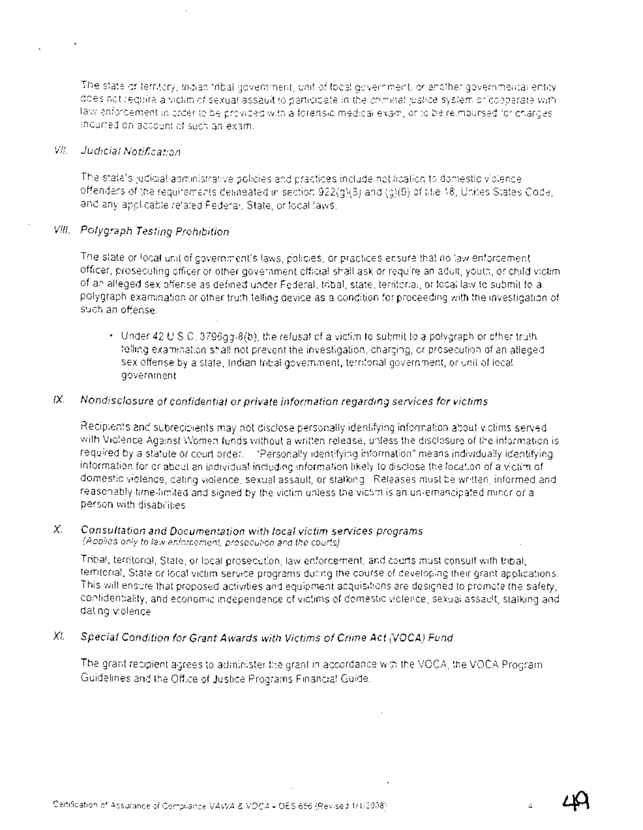The state or terr:tory, Indian tribal govemment, unit of local government, or another governmental entity does not require a wichm of sexual assault to participate in the criminal justice system or cooperate with law enforcement in order to be provided with a forensic medical exam, or to be reimbursed for charges incurred on account of such an exam.

### VII. JUdicia! Notjfication

The state's judicial administrative policies and practices include notification to domestic violence offenders of the requirements delineated in section 922(g)(8) and (g)(9) of title 18, Unites States Code, and any applicable related Federal, State, or focal laws.

### VIII. Polygraph Testing Prohibition

The state or local unit of government's laws, policies, or practices ensure that no law enforcement officer, prosecuting officer or other government official shall ask or require an adult, youth, or child victim of an alleged sex offense as defined under Federal, tribal, state, territorial, or local law to submit to a polygraph examination or other truth telling device as a condition for proceeding with the investigation of such an offense.

• Under 42 USC. 3796gg-8(b), the refusal of a victim to submit to a polygraph or other truth telling examination shall not prevent the investigation, charging, or prosecution of an alleged sex offense by a state, Indian tribal government, territorial government, or unit of local government .

### $IX.$  Nondisclosure of confidential or private information regarding services for victims

Recipients and subrecipients may not disclose personally identifying information about victims served with Violence Against Women funds without a written release, unless the disclosure of the information is required by a statute or court order. "Personally identifying information" means individually identifying information for or about an individual including information likely to disclose the location of a victim of domestic violence, dating violence, sexual assault, or stalking. Releases must be written, informed and reasonably time-limited and signed by the victim unless the victim is an un-emancipated minor or a person with disabilities.

### X. Consultation and Documentation with local victim services programs (Applies only to law enforcement, prosecution and the courts)

Tribal, territorial, State, or local prosecution, law enforcement, and courts must consult with tribal, territorial, State or local victim service programs during the course of developing their grant applications. This will ensure that proposed adivities and equipment acquisitions are designed to promote the safety, confidentiality, and economic independence of victims of domestic violence, sexual assault, stalking and dating violence.

### XI. Special Condition for Grant Awards with Victims of Crime Act (VOCA) Fund

The grant recipient agrees to administer the grant in accordance with the VOCA, the VOCA Program Guidelines and the Office of Justice Programs Financial Guide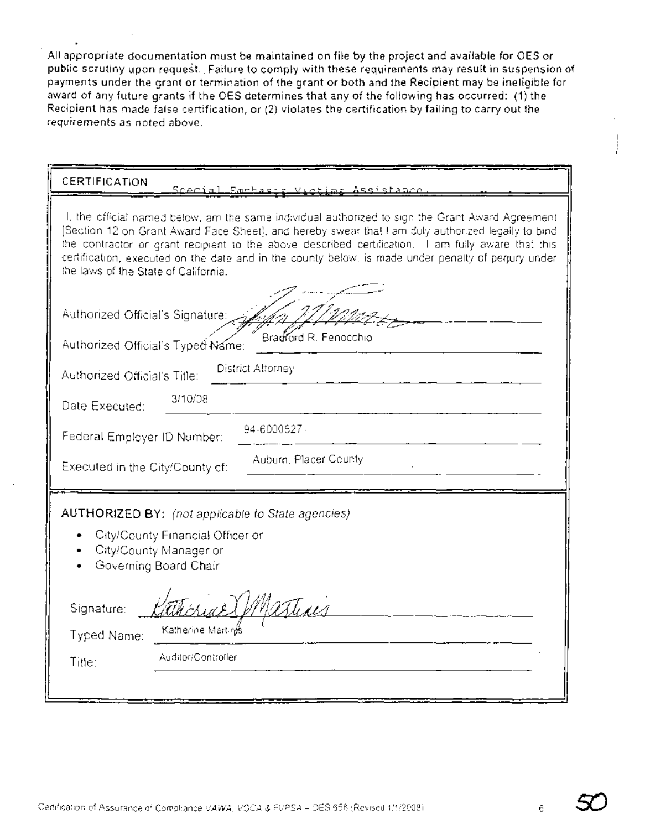All appropriate documentation must be maintained on file by the project and available for OES or public scrutiny upon request. Failure to comply with these requirements may result in suspension of payments under the grant or termination of the grant or both and the Recipient may be ineligible for award of any future grants if the OES determines that any of the following has occurred: (1) the Recipient has made false certification, or (2) violates the certification by failing to carry out the requirements as noted above.

| CERTIFICATION<br><u>Scecial Emphaers</u><br>Assistance                                                                                                                                                                                                                                                                                                                                                                                                      |  |  |  |  |
|-------------------------------------------------------------------------------------------------------------------------------------------------------------------------------------------------------------------------------------------------------------------------------------------------------------------------------------------------------------------------------------------------------------------------------------------------------------|--|--|--|--|
| I, the official named below, am the same individual authorized to sign the Grant Award Agreement<br>[Section 12 on Grant Award Face Sheet], and hereby swear that I am duly authorized legaily to bind<br>the contractor or grant recipient to the above described certification. I am fully aware that this<br>certification, executed on the date and in the county below, is made under penalty of perjury under<br>the laws of the State of California. |  |  |  |  |
| Authorized Official's Signature:<br>Bradford R. Fenocchio<br>Authorized Official's Typed Name:                                                                                                                                                                                                                                                                                                                                                              |  |  |  |  |
| District Attorney<br>Authorized Official's Title:                                                                                                                                                                                                                                                                                                                                                                                                           |  |  |  |  |
| 3/10/08<br>Date Executed:                                                                                                                                                                                                                                                                                                                                                                                                                                   |  |  |  |  |
| 94-6000527 -<br>Federal Employer ID Number:                                                                                                                                                                                                                                                                                                                                                                                                                 |  |  |  |  |
| Auburn, Placer County<br>Executed in the City/County of:                                                                                                                                                                                                                                                                                                                                                                                                    |  |  |  |  |
| AUTHORIZED BY: (not applicable to State agencies)<br>City/County Financial Officer or<br>City/County Manager or<br>Governing Board Chair                                                                                                                                                                                                                                                                                                                    |  |  |  |  |
| atting<br>Signature:                                                                                                                                                                                                                                                                                                                                                                                                                                        |  |  |  |  |
| Katherine Marting<br>Typed Name:                                                                                                                                                                                                                                                                                                                                                                                                                            |  |  |  |  |
| Auditor/Controller<br>Title:                                                                                                                                                                                                                                                                                                                                                                                                                                |  |  |  |  |
|                                                                                                                                                                                                                                                                                                                                                                                                                                                             |  |  |  |  |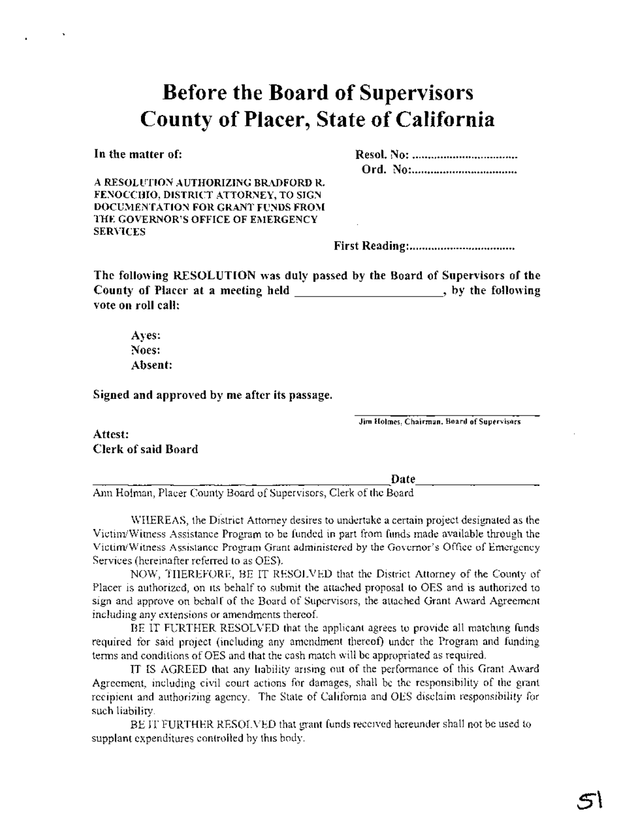# **Before the Board of Supervisors County of Placer, State of California**

In the matter of:

A RESOLUTION AUTHORIZING BRADFORD R. FENOCCHIO, DISTRICT ATTORNEY, TO SIGN DOCUMENTATION FOR GRANT FUNDS FROM THE GOVERNOR'S OFFICE OF EMERGENCY SERVICES

First Reading: .

The following RESOLUTION was duly passed by the Board of Supervisors of the County of Placer at a meeting held , by the following vote on roll call:

Ayes: Noes: Absent:

Signed and approved by me after its passage.

Jim Holmes, Chairman, Board of Supervisors

Attest: Clerk of said Board

Date ----------------------- ---------- Ann Holman, Placer County Board of Supervisors, Clerk ofthe Board

WHEREAS, the District Attorney desires to undertake a certain project designated as the Victim/Witness Assistance Program to be funded in part from funds made available through the VictimlWitness Assistance Program Grant administered by the Governor's Office of Emergency Services (hereinafter referred to as OES).

NOW, THEREFORE, BE IT RESOLVED that the District Attorney of the County of Placer is authorized, on its behalf to submit the attached proposal to OES and is authorized to sign and approve on behalf of the Board of Supervisors, the attached Grant Award Agreement including any extensions or amendments thereof.

BE IT FURTHER RESOLVED that the applicant agrees to provide all matching funds required for said project (including any amendment thereof) under the Program and funding terms and conditions of OES and that the cash match will be appropriated as required.

IT IS AGREED that any liability arising out of the performance of this Grant Award Agreement, including civil court actions for damages, shall be the responsibility of the grant recipient and authorizing agency. The State of California and OES disclaim responsibility for such liability.

BE IT FURTHER RESOLVED that grant funds received hereunder shall not be used to supplant expenditures controlled by this body.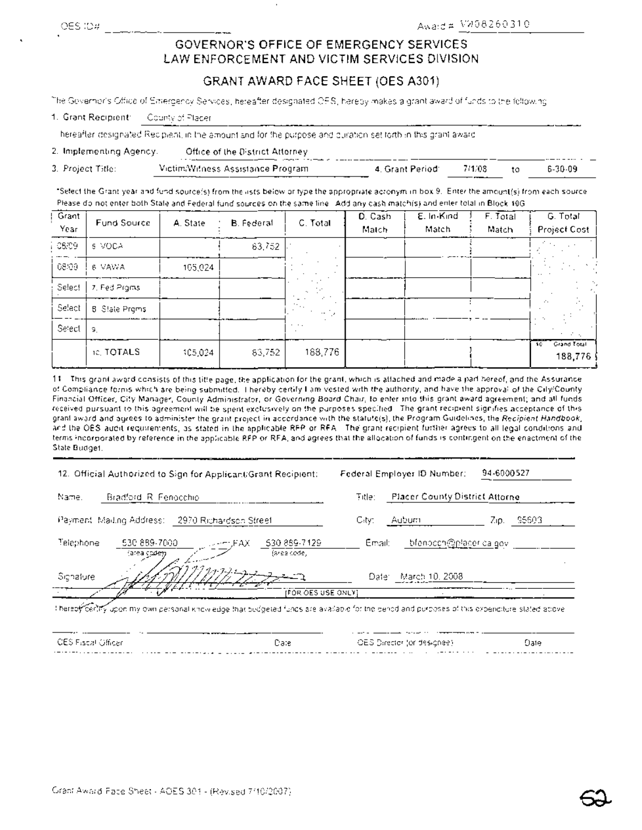# GOVERNOR'S **OFFICE OF EMERGENCY SERVICES LAW ENFORCEMENT AND VICTIM SERVICES DIVISION**

# **GRANT AWARD FACE SHEET** (OES A301)

The Governor's Office of Emergency Services, hereafter designated OES, hereby makes a grant award of funds to the following:

| 1. Grant Recipient: | County of Placer |
|---------------------|------------------|
|---------------------|------------------|

---'------------------------------------ hereafter designated Recipient, in the amount and for the purpose and duration set forth In this grant award.

### 2. Implementing Agency: Office of the District Attorney

3. Project Title: VictimlWitness Assistance Program 4. Grant Period: 7/1/08 to 6-30-09

'Select the Grant year and fund source(s) from the lists below or type the appropriate acronym in box 9. Enter the amount(s) from each source. Please do not enter both State and Federal fund sources on the same line. Add any cash match(s) and enter total in Block 10G.

| Grant<br>Year | Fund Source          | A. State | B. Federal | C. Total             | D. Cash<br>Match | E. In Kind<br>Match | F. Total<br>Match | G. Total<br>Project Cost     |
|---------------|----------------------|----------|------------|----------------------|------------------|---------------------|-------------------|------------------------------|
| 08/09         | 5 VOCA               |          | 63,752     |                      |                  |                     |                   | <b>State</b>                 |
| 08/09         | 6 VAWA               | 105,024  |            |                      |                  |                     |                   |                              |
| Select        | 7. Fed Prams         |          |            |                      |                  |                     |                   |                              |
| Select        | <b>B</b> State Prgms |          |            | <b>COLL</b><br>والمد |                  |                     |                   | $\mathcal{L}_{\mathcal{A}}$  |
| Select        | -9.                  |          |            | $\cdot$ $\cdot$ .    |                  |                     |                   | A. A.                        |
|               | <b>10. TOTALS</b>    | \$05,024 | 83,752     | 188,776              |                  |                     |                   | Grand Total<br>16<br>188,776 |

11. This grant award consists of this title page, the application for the grant, which is atlached and made a part hereof, and the Assurance of Compliance forms which are being submitted. I hereby certify I am vested with the authority, and have the approval of the City/County Financial Officer, City Manager, County Administrator, or Governing Board Chair, to enter into this grant award agreement; and all funds received pursuant to this agreement will be spent exclusively on the purposes specified. The grant recipient signifies acceptance of this grant award and agrees to administer the grant project in accordance with the statute(s), the Program Guidelines, the Recipient Handbook, and the OES audit requirements, as stated in the applicable RFP or RFA. The' grant recipient further agrees to all legal conditions and terms incorporated by reference in the applicable RFP or RFA, and agrees that the allocation of funds is contingent on the enactment of the State BUdget.

| 12. Official Authorized to Sign for Applicant/Grant Recipient:                   | 94-6000527<br>Federal Employer ID Number:                                                                                                                                                                                                                                                                                                                                                                                                                    |
|----------------------------------------------------------------------------------|--------------------------------------------------------------------------------------------------------------------------------------------------------------------------------------------------------------------------------------------------------------------------------------------------------------------------------------------------------------------------------------------------------------------------------------------------------------|
| Name.<br>Bradford R Fenocchio                                                    | <b>Placer County District Attorne</b><br><b>Fitle:</b>                                                                                                                                                                                                                                                                                                                                                                                                       |
| Payment, Mailing Address:<br>2970 Richardson Street                              | 95603<br>City:<br>Aubum<br>Zip.                                                                                                                                                                                                                                                                                                                                                                                                                              |
| Telephone<br>530 889-7000<br>\$30,889-7129<br>.FAX<br>farea code,<br>(area codem | bfenocch@placer.ca.gov.<br>Email:                                                                                                                                                                                                                                                                                                                                                                                                                            |
| Signature                                                                        | March 10, 2008<br>Date:                                                                                                                                                                                                                                                                                                                                                                                                                                      |
| IFOR OES USE ONLY?                                                               |                                                                                                                                                                                                                                                                                                                                                                                                                                                              |
|                                                                                  | $\mathcal{L} = \mathcal{L} = \mathcal{L} = \mathcal{L} = \mathcal{L} = \mathcal{L} = \mathcal{L} = \mathcal{L} = \mathcal{L} = \mathcal{L} = \mathcal{L} = \mathcal{L} = \mathcal{L} = \mathcal{L} = \mathcal{L} = \mathcal{L} = \mathcal{L} = \mathcal{L} = \mathcal{L} = \mathcal{L} = \mathcal{L} = \mathcal{L} = \mathcal{L} = \mathcal{L} = \mathcal{L} = \mathcal{L} = \mathcal{L} = \mathcal{L} = \mathcal{L} = \mathcal{L} = \mathcal{L} = \mathcal$ |

I hereoff Certify upon my own personal knowledge that budgeted funds are available for the period and purposes of this expenditure stated above.

| --- ---              | --------                                                                                                            |                               |                    |
|----------------------|---------------------------------------------------------------------------------------------------------------------|-------------------------------|--------------------|
| - CES Fiscal Officer | Date                                                                                                                | -OES Director (or designee) - | Oate :             |
|                      | <u> 1919-1912 - La component de la componentação y que por producemente de la constancia de la componenta de la</u> | .                             | __ _._._._._._._._ |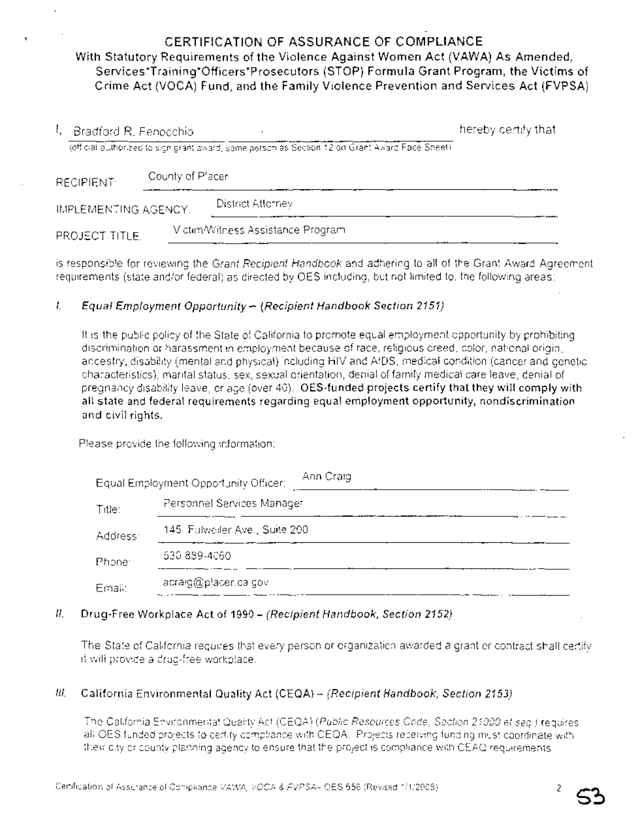# **CERTIFICATION OF ASSURANCE OF COMPLIANCE** With Statutory Requirements of the Violence Against Women Act (VAWA) As Amended, Services\*Training\*Officers\*Prosecutors (STOP) Formula Grant Program, the Victims of Crime Act (VOCA) Fund, and the Family Violence Prevention and Services Act (FVPSA)

| Bradford R. Fenocchio |                  |                                                                                                 | hereby certify that |
|-----------------------|------------------|-------------------------------------------------------------------------------------------------|---------------------|
|                       |                  | (official authorized to sign grant award, some person as Section 12 on Grant Award Face Sheet). |                     |
| <b>RECIPIENT:</b>     | County of Placer |                                                                                                 |                     |
| IMPLEMENTING AGENCY.  |                  | District Attorney                                                                               |                     |
| PROJECT TITLE.        |                  | Victim/Witness Assistance Program                                                               |                     |

is responsible for reviewing the Grant Recipient Handbook and adhering to all of the Grant Award Agreement requirements (state and/or federal) as directed by OES including, but not limited to, the following areas:

### I. Equal Employment Opportunity - (Recipient Handbook Section 2151)

It is the public policy of the State of California to promote equal employment opportunity by prohibiting discrimination or harassment in employment because of race, religious creed, color, national origin, ancestry, disability (mental and physical) including HIV and AIDS, medical condition (cancer and genetic characteristics), marital status, sex, sexual orientation, denial of family medical care leave, denial of pregnancy disability leave, or age (over 40). OES-funded projects certify that they will comply with all state and federal requirements regarding equal employment opportunity, nondiscrimination and civil rights.

Please provide the following information:

|          | Ann Craig<br>Equal Employment Opportunity Officer: |  |
|----------|----------------------------------------------------|--|
| Title:   | Personnel Services Manager                         |  |
| Address: | 145 Fulweller Ave., Suite 200                      |  |
| Phone:   | 530 889-4060                                       |  |
| Email:   | lacraig@placer.ca.gov                              |  |

### II. Drug-Free Workplace Act of 1990 - (Recipient Handbook, Section 2152)

. The State of California requires that every person or organization awarded a grant or contract shall certify it will provide a drug-free workplace.

### III. California Environmental Quality Act (CEQA) - (Recipient Handbook, Section 2153)

The California Environmental Quality Act (CEQA) (Public Resources Code, Section 21000 et seq) requires all OES funded projects to certify compliance with CEOA. Projects receiving funding must coordinate with their city or county planning agency to ensure that the project is compliance with CEAQ requirements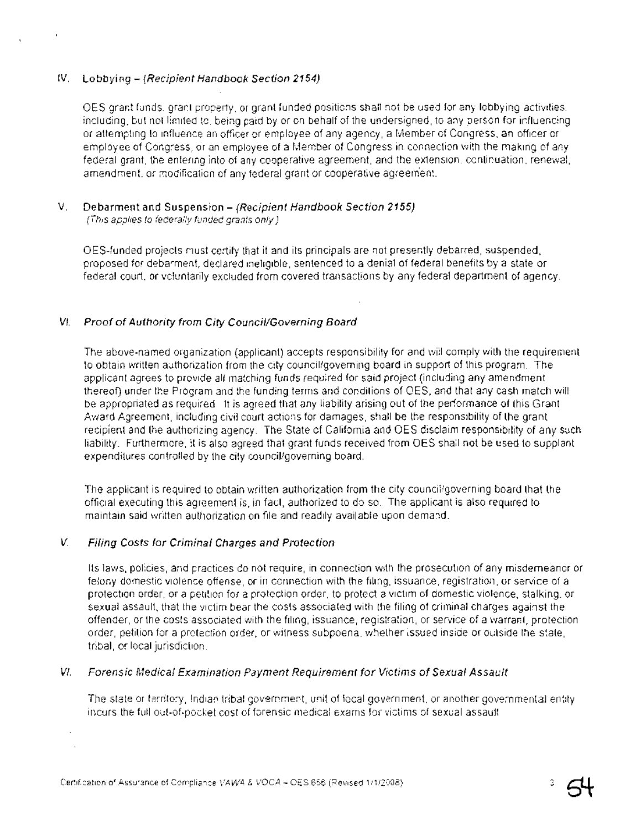### IV. Lobbying - (Recipient Handbook Section 2154)

OES grant funds, grant property, or grant funded positions shall not be used for any lobbying activities, including, but not limited to, being paid by or on behalf of the undersigned, to any person for influencing or attempting to influence an officer or employee of any agency, a Member of Congress, an officer or employee of Congress, or an employee of a Member of Congress in connection with the making of any federal grant, the entering into of any cooperative agreement, and the extension, continuation, renewal, amendment, or modification of any federal grant or cooperative agreem'ent.

### V. Debarment and Suspension - (Recipient Handbook Section 2155) (This applies to federally funded grants only)

OES-funded projects must certify that it and its principals are not presently debarred, suspended, proposed for debarment, declared ineligible, sentenced to a denial of federal benefits by a state or federal court, or voluntarily excluded from covered transactions by any federal department of agency.

### VI. Proof of Authority from City Council/Governing Board

The above-named organization (applicant) accepts responsibility for and will comply with the requirement to obtain written authorization from the city council/goveming board in support of this program, The applicant agrees to provide all matching funds required for said project (including any amendment thereof) under the Program and the funding terms and conditions of OES, and that any cash match will be appropriated as required It is agreed that any liability arising out of the performance of this Grant Award Agreement, including civil court actions for damages, shall be the responsibility of the grant recipient and the authorizing agency; The State of Califomia and OES disclaim responsibility of any such liability. Furthermore, it is also agreed that grant funds received from OES shall not be used to supplant expenditures controlled by the city council/governing board,

The applicant is required to obtain written authorization from the city council/governing board that the official executing this agreement is, in fact, authorized to do so. The applicant is also required to maintain said written authorization on file and readily available upon demand,

### V. Filing Costs for Criminal Charges and Protection

Its laws, policies, and practices do not require, in connection with the prosecution of any misdemeanor or felony domestic violence offense, or in connection with the filing, issuance, registration, or service of a protection order, or a petition for a protection order, to protect a victim of domestic violence, stalking, or sexual assault, that the victim bear the costs associated with the filing of criminal charges against the offender, or the costs associated with the filing, issuance, registration, or service of a warrant, protection order, petition for a protection order, or witness subpoena, whether issued inside or outside the state, tribal, or local jurisdiction,

### VI. Forensic Medica/ Examination Payment Requirement for Victims of Sexual Assault

The state or territory, Indian tribal govemment, unit of local government, or another governmental entity incurs the full out-of-pocket cost of forensic medical exams forvictims of sexual assault.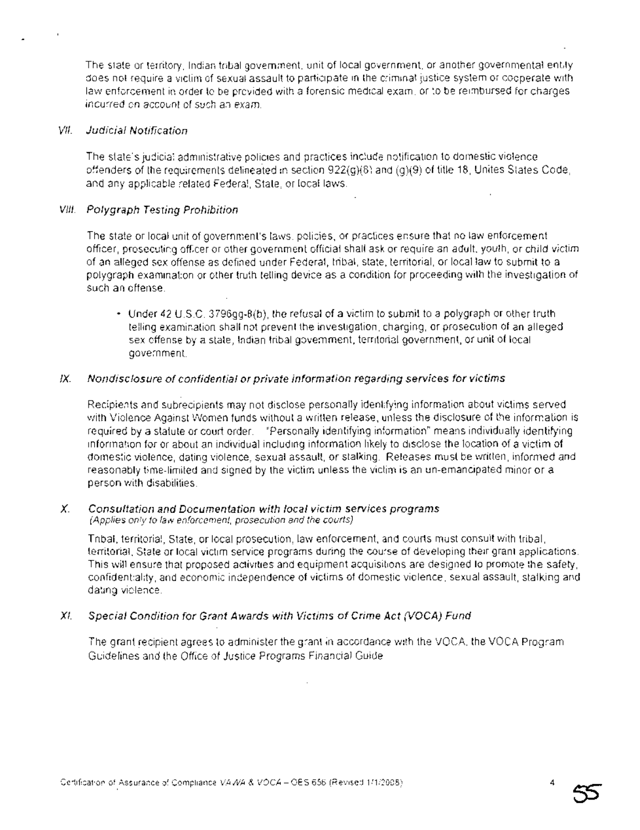The state or territory, Indian tribal government, unit of local government, or another governmental entity does not require a victim of sexual assault to participate in the criminal justice system or cooperate with law enforcement in order to be provided with a forensic medical exam, or to be reimbursed for charges incurred on account of such an exam.

### VII. Judicial Notification

The state's judicial administrative policies and practrces include notification to domestic violence offenders of the requirements delineated in section 922(g)(8) and (g)(9) of title 18, Unites States Code, and any applicable related Federal, State, or local laws.

### VIII. Polygraph Testing Prohibition

The state or local unit of government's laws, policies, or practices ensure that no law enforcement officer, prosecuting officer or other government official shall ask or require an adult, youth, or child victim of an alleged sex offense as defined under Federal, tribal, state, territorial, or local law to submit to a polygraph examination orother truth telling device as a condition for proceeding with the investigation of such an offense.

• Under 42 U.S.C. 3796gg-8(b), the refusal of a victim to submit to a polygraph or other truth telling examination shall not prevent the investigation, charging, or prosecution of an alleged sex offense by a state, Indian tribal government, territorial government, or unit of local government.

### IX. Nondisclosure of confidential or private information regarding services for victims

Recipients and subrecipients may not disclose personally identifying information about victims served with Violence Against Women funds without a written release, unless the disclosure of the information is required by a statute or court order. "Personally identifying information" means individually identifying information for or about an individual including information likely to disclose the location of a victim of domestic violence, dating violence, sexual assault, or stalking. Releases must be written, informed and reasonably time-limited and signed by the victim unless the victim is an un-emancipated minor or a person with disabilities.

### X. Consultation and Documentation with local victim services programs (Applies only to law enforcement, prosecution and the courts)

Tribal, territorial, State, or local prosecution, law enforcement, and courts must consult with tribal, territorial, State or local victim service programs during the course of developing their grant applications. This will ensure that proposed activities and equipment acquisitions are designed to promote the safety, confidentiality, and economic independence of victims of domestic violence, sexual assault, stalking and dating violence.

### XI. Special Condition for Grant Awards with Victims of Crime Act (VOCA) Fund

The grant recipient agrees to administer the grant in accordance with the VOCA, the VOCA Program Guidelines and the Office of Justice Programs Financial Guide.